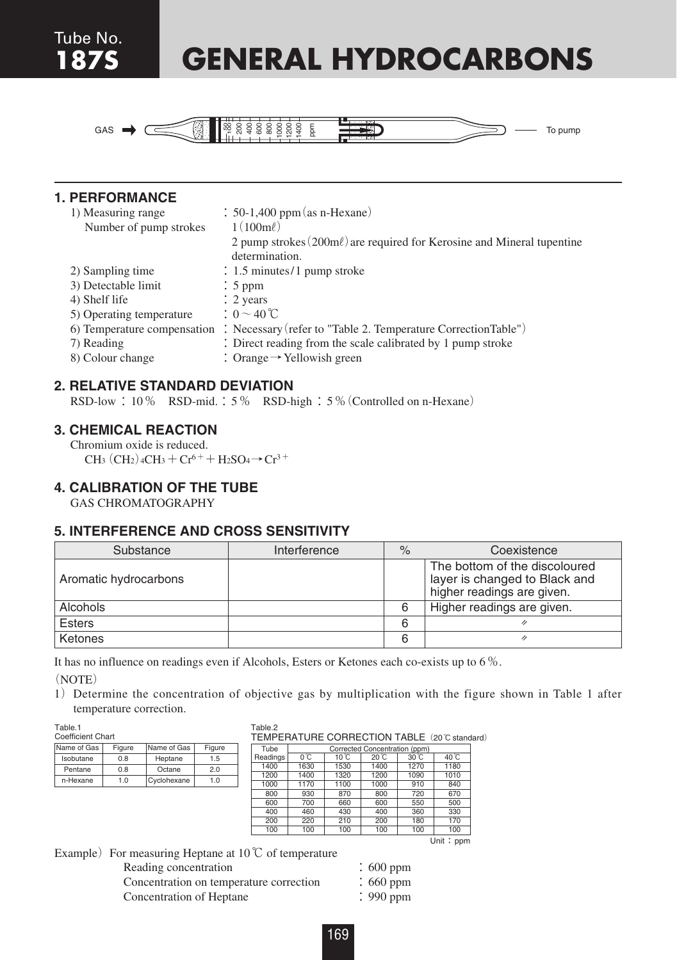# **187S GENERAL HYDROCARBONS**



| $\text{GAS} \rightarrow$ (                                                                                                                                        | <b>EXPRESSED</b><br>To pump                                                                                                                              |
|-------------------------------------------------------------------------------------------------------------------------------------------------------------------|----------------------------------------------------------------------------------------------------------------------------------------------------------|
|                                                                                                                                                                   |                                                                                                                                                          |
| <b>1. PERFORMANCE</b>                                                                                                                                             |                                                                                                                                                          |
| 1) Measuring range                                                                                                                                                | $\therefore$ 50-1,400 ppm (as n-Hexane)                                                                                                                  |
| Number of pump strokes                                                                                                                                            | $1(100m\ell)$                                                                                                                                            |
|                                                                                                                                                                   | 2 pump strokes $(200 \text{m}\ell)$ are required for Kerosine and Mineral tupentine<br>determination                                                     |
| 2) Sampling time                                                                                                                                                  | $\therefore$ 1.5 minutes/1 pump stroke                                                                                                                   |
| 3) Detectable limit                                                                                                                                               | $: 5$ ppm                                                                                                                                                |
| 4) Shelf life                                                                                                                                                     | $\therefore$ 2 years                                                                                                                                     |
| 5) Operating temperature                                                                                                                                          | $: 0 \sim 40$ °C                                                                                                                                         |
| 7) Reading                                                                                                                                                        | 6) Temperature compensation : Necessary (refer to "Table 2. Temperature CorrectionTable")<br>: Direct reading from the scale calibrated by 1 pump stroke |
| 8) Colour change                                                                                                                                                  | : Orange $\rightarrow$ Yellowish green                                                                                                                   |
|                                                                                                                                                                   |                                                                                                                                                          |
| <b>2. RELATIVE STANDARD DEVIATION</b>                                                                                                                             |                                                                                                                                                          |
|                                                                                                                                                                   | RSD-low: 10 % RSD-mid.: 5 % RSD-high: 5 % (Controlled on n-Hexane)                                                                                       |
| <b>3. CHEMICAL REACTION</b>                                                                                                                                       |                                                                                                                                                          |
| Chromium oxide is reduced.                                                                                                                                        |                                                                                                                                                          |
| $CH_3$ (CH <sub>2</sub> ) <sub>4</sub> CH <sub>3</sub> + C <sub>r</sub> <sup>6+</sup> + H <sub>2</sub> SO <sub>4</sub> $\rightarrow$ C <sub>r</sub> <sup>3+</sup> |                                                                                                                                                          |
| <b>4. CALIBRATION OF THE TUBE</b>                                                                                                                                 |                                                                                                                                                          |
| <b>GAS CHROMATOGRAPHY</b>                                                                                                                                         |                                                                                                                                                          |
| <b>5. INTERFERENCE AND CROSS SENSITIVITY</b>                                                                                                                      |                                                                                                                                                          |
|                                                                                                                                                                   |                                                                                                                                                          |

#### **2. RELATIVE STANDARD DEVIATION**

## **3. CHEMICAL REACTION**

## **4. CALIBRATION OF THE TUBE**

| Substance             | Interference | $\frac{9}{6}$ | Coexistence                                                                                  |  |  |
|-----------------------|--------------|---------------|----------------------------------------------------------------------------------------------|--|--|
| Aromatic hydrocarbons |              |               | The bottom of the discoloured<br>layer is changed to Black and<br>higher readings are given. |  |  |
| Alcohols              |              | 6             | Higher readings are given.                                                                   |  |  |
| <b>Esters</b>         |              | 6             |                                                                                              |  |  |
| Ketones               |              | 6             | n                                                                                            |  |  |

It has no influence on readings even if Alcohols, Esters or Ketones each co-exists up to 6%.

(NOTE)

1) Determine the concentration of objective gas by multiplication with the figure shown in Table 1 after temperature correction.

Table.1

| Coefficient Chart |        |             |        |  |  |
|-------------------|--------|-------------|--------|--|--|
| Name of Gas       | Figure | Name of Gas | Figure |  |  |
| Isobutane         | 0.8    | Heptane     | 1.5    |  |  |
| Pentane           | 0.8    | Octane      | 2.0    |  |  |
| n-Hexane          | 1.0    | Cyclohexane | 1.0    |  |  |

#### Table 2 TEMPERATURE CORRECTION TABLE (20℃ standard)

| Tube     | Corrected Concentration (ppm) |                   |       |                   |                   |
|----------|-------------------------------|-------------------|-------|-------------------|-------------------|
| Readings | 0 °C                          | 10 <sup>°</sup> C | 20 °C | 30 <sup>°</sup> C | 40 <sup>°</sup> C |
| 1400     | 1630                          | 1530              | 1400  | 1270              | 1180              |
| 1200     | 1400                          | 1320              | 1200  | 1090              | 1010              |
| 1000     | 1170                          | 1100              | 1000  | 910               | 840               |
| 800      | 930                           | 870               | 800   | 720               | 670               |
| 600      | 700                           | 660               | 600   | 550               | 500               |
| 400      | 460                           | 430               | 400   | 360               | 330               |
| 200      | 220                           | 210               | 200   | 180               | 170               |
| 100      | 100                           | 100               | 100   | 100               | 100               |

Example) For measuring Heptane at  $10\degree\text{C}$  of temperature

| Reading concentration                   | $\therefore$ 600 ppm |
|-----------------------------------------|----------------------|
| Concentration on temperature correction | $\therefore$ 660 ppm |
| Concentration of Heptane                | $\therefore$ 990 ppm |

Unit: ppm